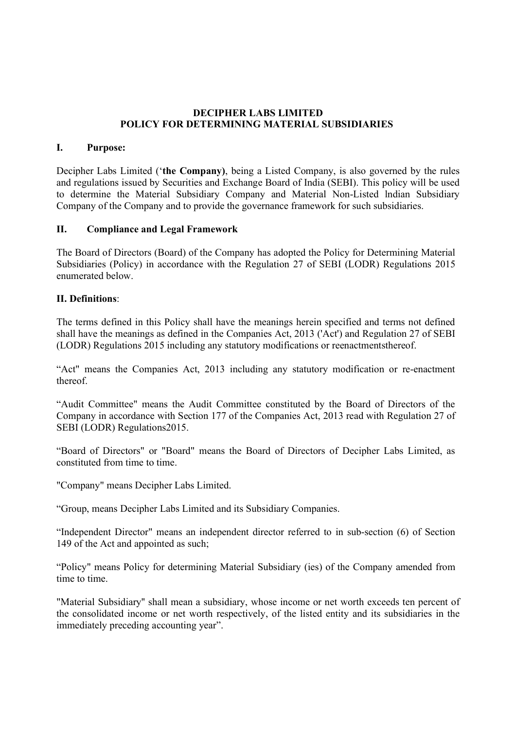# DECIPHER LABS LIMITED POLICY FOR DETERMINING MATERIAL SUBSIDIARIES

## I. Purpose:

Decipher Labs Limited ('the Company), being a Listed Company, is also governed by the rules and regulations issued by Securities and Exchange Board of India (SEBI). This policy will be used to determine the Material Subsidiary Company and Material Non-Listed Indian Subsidiary Company of the Company and to provide the governance framework for such subsidiaries.

# II. Compliance and Legal Framework

The Board of Directors (Board) of the Company has adopted the Policy for Determining Material Subsidiaries (Policy) in accordance with the Regulation 27 of SEBI (LODR) Regulations 2015 enumerated below.

# II. Definitions:

The terms defined in this Policy shall have the meanings herein specified and terms not defined shall have the meanings as defined in the Companies Act, 2013 ('Act') and Regulation 27 of SEBI (LODR) Regulations 2015 including any statutory modifications or reenactmentsthereof.

"Act" means the Companies Act, 2013 including any statutory modification or re-enactment thereof.

"Audit Committee" means the Audit Committee constituted by the Board of Directors of the Company in accordance with Section 177 of the Companies Act, 2013 read with Regulation 27 of SEBI (LODR) Regulations2015.

"Board of Directors" or "Board" means the Board of Directors of Decipher Labs Limited, as constituted from time to time.

"Company" means Decipher Labs Limited.

"Group, means Decipher Labs Limited and its Subsidiary Companies.

"Independent Director" means an independent director referred to in sub-section (6) of Section 149 of the Act and appointed as such;

"Policy" means Policy for determining Material Subsidiary (ies) of the Company amended from time to time.

"Material Subsidiary'' shall mean a subsidiary, whose income or net worth exceeds ten percent of the consolidated income or net worth respectively, of the listed entity and its subsidiaries in the immediately preceding accounting year".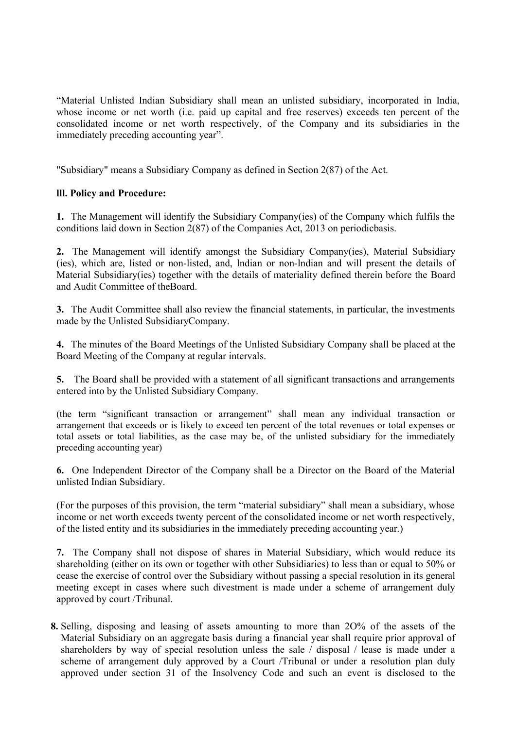"Material Unlisted Indian Subsidiary shall mean an unlisted subsidiary, incorporated in India, whose income or net worth (i.e. paid up capital and free reserves) exceeds ten percent of the consolidated income or net worth respectively, of the Company and its subsidiaries in the immediately preceding accounting year".

"Subsidiary" means a Subsidiary Company as defined in Section 2(87) of the Act.

# lll. Policy and Procedure:

1. The Management will identify the Subsidiary Company(ies) of the Company which fulfils the conditions laid down in Section 2(87) of the Companies Act, 2013 on periodicbasis.

2. The Management will identify amongst the Subsidiary Company(ies), Material Subsidiary (ies), which are, listed or non-listed, and, lndian or non-lndian and will present the details of Material Subsidiary(ies) together with the details of materiality defined therein before the Board and Audit Committee of theBoard.

3. The Audit Committee shall also review the financial statements, in particular, the investments made by the Unlisted SubsidiaryCompany.

4. The minutes of the Board Meetings of the Unlisted Subsidiary Company shall be placed at the Board Meeting of the Company at regular intervals.

5. The Board shall be provided with a statement of all significant transactions and arrangements entered into by the Unlisted Subsidiary Company.

(the term "significant transaction or arrangement" shall mean any individual transaction or arrangement that exceeds or is likely to exceed ten percent of the total revenues or total expenses or total assets or total liabilities, as the case may be, of the unlisted subsidiary for the immediately preceding accounting year)

6. One Independent Director of the Company shall be a Director on the Board of the Material unlisted Indian Subsidiary.

(For the purposes of this provision, the term "material subsidiary" shall mean a subsidiary, whose income or net worth exceeds twenty percent of the consolidated income or net worth respectively, of the listed entity and its subsidiaries in the immediately preceding accounting year.)

7. The Company shall not dispose of shares in Material Subsidiary, which would reduce its shareholding (either on its own or together with other Subsidiaries) to less than or equal to 50% or cease the exercise of control over the Subsidiary without passing a special resolution in its general meeting except in cases where such divestment is made under a scheme of arrangement duly approved by court /Tribunal.

8. Selling, disposing and leasing of assets amounting to more than 2O% of the assets of the Material Subsidiary on an aggregate basis during a financial year shall require prior approval of shareholders by way of special resolution unless the sale / disposal / lease is made under a scheme of arrangement duly approved by a Court /Tribunal or under a resolution plan duly approved under section 31 of the Insolvency Code and such an event is disclosed to the